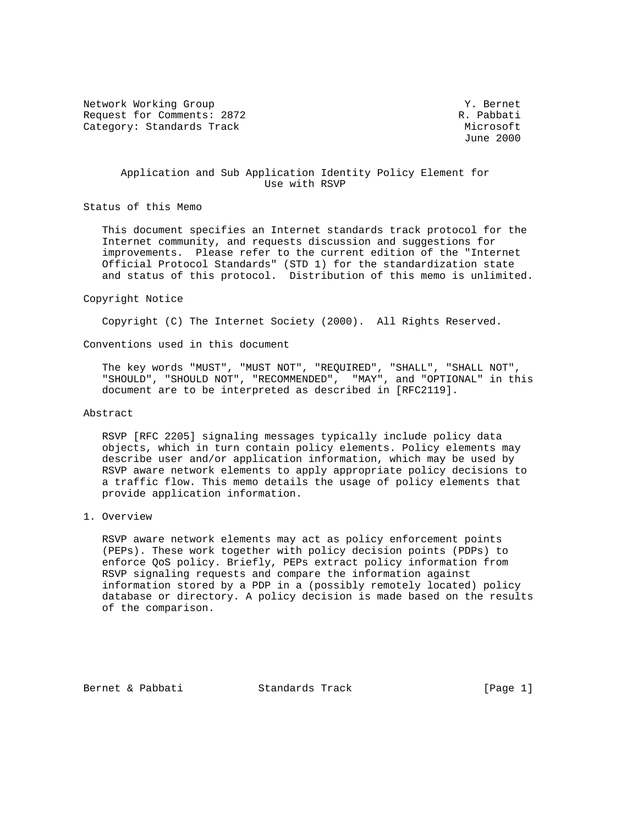Network Working Group 30 and 1999 and 1999 and 1999 and 1999 and 1999 and 1999 and 1999 and 1999 and 1999 and 1 Request for Comments: 2872 R. Pabbati Category: Standards Track Microsoft Microsoft Microsoft Microsoft Microsoft Microsoft Microsoft Microsoft Microsoft Microsoft Microsoft Microsoft Microsoft Microsoft Microsoft Microsoft Microsoft Microsoft Microsoft Micros

June 2000

## Application and Sub Application Identity Policy Element for Use with RSVP

Status of this Memo

 This document specifies an Internet standards track protocol for the Internet community, and requests discussion and suggestions for improvements. Please refer to the current edition of the "Internet Official Protocol Standards" (STD 1) for the standardization state and status of this protocol. Distribution of this memo is unlimited.

#### Copyright Notice

Copyright (C) The Internet Society (2000). All Rights Reserved.

Conventions used in this document

 The key words "MUST", "MUST NOT", "REQUIRED", "SHALL", "SHALL NOT", "SHOULD", "SHOULD NOT", "RECOMMENDED", "MAY", and "OPTIONAL" in this document are to be interpreted as described in [RFC2119].

#### Abstract

 RSVP [RFC 2205] signaling messages typically include policy data objects, which in turn contain policy elements. Policy elements may describe user and/or application information, which may be used by RSVP aware network elements to apply appropriate policy decisions to a traffic flow. This memo details the usage of policy elements that provide application information.

### 1. Overview

 RSVP aware network elements may act as policy enforcement points (PEPs). These work together with policy decision points (PDPs) to enforce QoS policy. Briefly, PEPs extract policy information from RSVP signaling requests and compare the information against information stored by a PDP in a (possibly remotely located) policy database or directory. A policy decision is made based on the results of the comparison.

Bernet & Pabbati Standards Track [Page 1]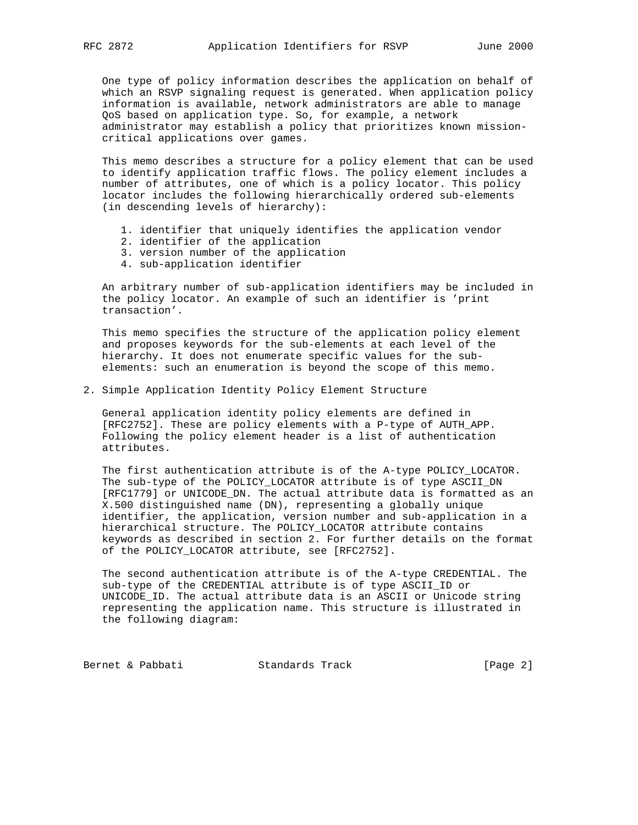One type of policy information describes the application on behalf of which an RSVP signaling request is generated. When application policy information is available, network administrators are able to manage QoS based on application type. So, for example, a network administrator may establish a policy that prioritizes known mission critical applications over games.

 This memo describes a structure for a policy element that can be used to identify application traffic flows. The policy element includes a number of attributes, one of which is a policy locator. This policy locator includes the following hierarchically ordered sub-elements (in descending levels of hierarchy):

- 1. identifier that uniquely identifies the application vendor
- 2. identifier of the application
- 3. version number of the application
- 4. sub-application identifier

 An arbitrary number of sub-application identifiers may be included in the policy locator. An example of such an identifier is 'print transaction'.

 This memo specifies the structure of the application policy element and proposes keywords for the sub-elements at each level of the hierarchy. It does not enumerate specific values for the sub elements: such an enumeration is beyond the scope of this memo.

2. Simple Application Identity Policy Element Structure

 General application identity policy elements are defined in [RFC2752]. These are policy elements with a P-type of AUTH\_APP. Following the policy element header is a list of authentication attributes.

 The first authentication attribute is of the A-type POLICY\_LOCATOR. The sub-type of the POLICY\_LOCATOR attribute is of type ASCII\_DN [RFC1779] or UNICODE DN. The actual attribute data is formatted as an X.500 distinguished name (DN), representing a globally unique identifier, the application, version number and sub-application in a hierarchical structure. The POLICY\_LOCATOR attribute contains keywords as described in section 2. For further details on the format of the POLICY\_LOCATOR attribute, see [RFC2752].

 The second authentication attribute is of the A-type CREDENTIAL. The sub-type of the CREDENTIAL attribute is of type ASCII\_ID or UNICODE\_ID. The actual attribute data is an ASCII or Unicode string representing the application name. This structure is illustrated in the following diagram:

Bernet & Pabbati Standards Track [Page 2]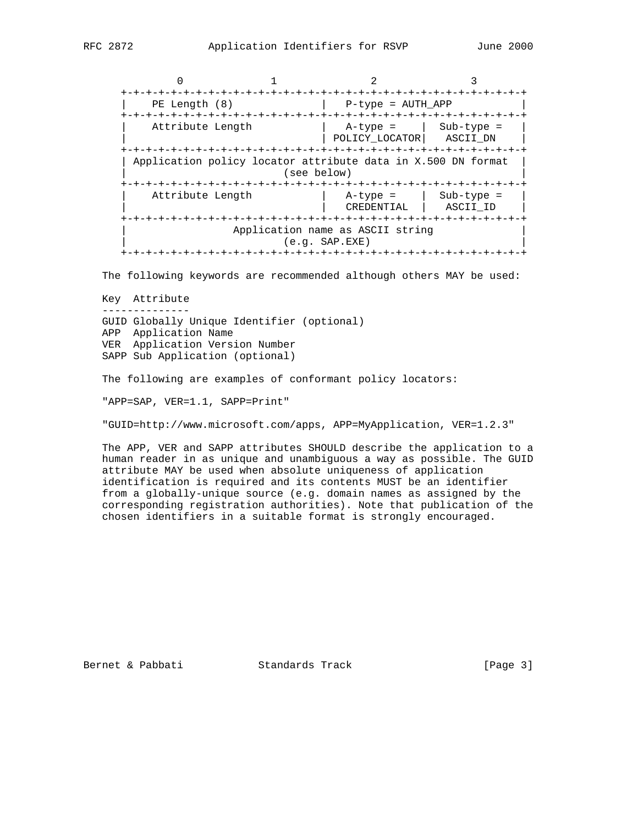| -+-+-+-+-+-+-+-+-+-+-+                                       |  |                           |              |
|--------------------------------------------------------------|--|---------------------------|--------------|
| PE Length (8)                                                |  | $P$ -type = AUTH APP      |              |
|                                                              |  |                           |              |
| Attribute Length                                             |  | $A$ -type =               | $Sub-type =$ |
|                                                              |  | POLICY LOCATOR            | ASCII DN     |
|                                                              |  |                           |              |
| Application policy locator attribute data in X.500 DN format |  |                           |              |
| (see below)                                                  |  |                           |              |
|                                                              |  | -+-+-+-+-+-+-+-+-+-+-+-+- |              |
| Attribute Length                                             |  | $A$ -type =               | $Sub-type =$ |
|                                                              |  | CREDENTIAL                | ASCII ID     |
| $-+ - + - + - +$                                             |  |                           |              |
| Application name as ASCII string                             |  |                           |              |
| $(e,q.$ SAP.EXE)                                             |  |                           |              |
| -+-+-+-+-+-+-+-+-+-+-                                        |  |                           |              |

The following keywords are recommended although others MAY be used:

 Key Attribute -------------- GUID Globally Unique Identifier (optional) APP Application Name VER Application Version Number SAPP Sub Application (optional)

The following are examples of conformant policy locators:

"APP=SAP, VER=1.1, SAPP=Print"

"GUID=http://www.microsoft.com/apps, APP=MyApplication, VER=1.2.3"

 The APP, VER and SAPP attributes SHOULD describe the application to a human reader in as unique and unambiguous a way as possible. The GUID attribute MAY be used when absolute uniqueness of application identification is required and its contents MUST be an identifier from a globally-unique source (e.g. domain names as assigned by the corresponding registration authorities). Note that publication of the chosen identifiers in a suitable format is strongly encouraged.

Bernet & Pabbati Standards Track [Page 3]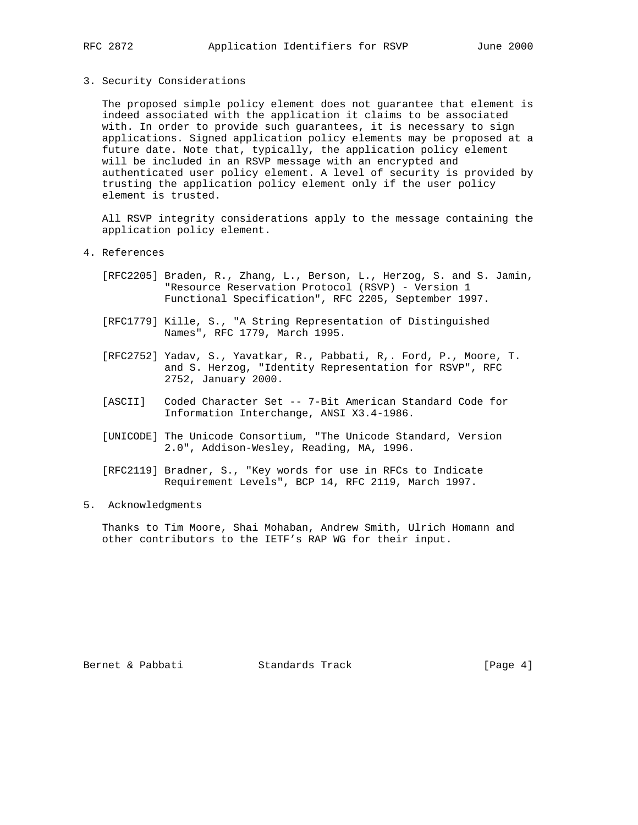3. Security Considerations

 The proposed simple policy element does not guarantee that element is indeed associated with the application it claims to be associated with. In order to provide such guarantees, it is necessary to sign applications. Signed application policy elements may be proposed at a future date. Note that, typically, the application policy element will be included in an RSVP message with an encrypted and authenticated user policy element. A level of security is provided by trusting the application policy element only if the user policy element is trusted.

 All RSVP integrity considerations apply to the message containing the application policy element.

- 4. References
	- [RFC2205] Braden, R., Zhang, L., Berson, L., Herzog, S. and S. Jamin, "Resource Reservation Protocol (RSVP) - Version 1 Functional Specification", RFC 2205, September 1997.
	- [RFC1779] Kille, S., "A String Representation of Distinguished Names", RFC 1779, March 1995.
	- [RFC2752] Yadav, S., Yavatkar, R., Pabbati, R,. Ford, P., Moore, T. and S. Herzog, "Identity Representation for RSVP", RFC 2752, January 2000.
	- [ASCII] Coded Character Set -- 7-Bit American Standard Code for Information Interchange, ANSI X3.4-1986.
	- [UNICODE] The Unicode Consortium, "The Unicode Standard, Version 2.0", Addison-Wesley, Reading, MA, 1996.
	- [RFC2119] Bradner, S., "Key words for use in RFCs to Indicate Requirement Levels", BCP 14, RFC 2119, March 1997.
- 5. Acknowledgments

 Thanks to Tim Moore, Shai Mohaban, Andrew Smith, Ulrich Homann and other contributors to the IETF's RAP WG for their input.

Bernet & Pabbati Standards Track [Page 4]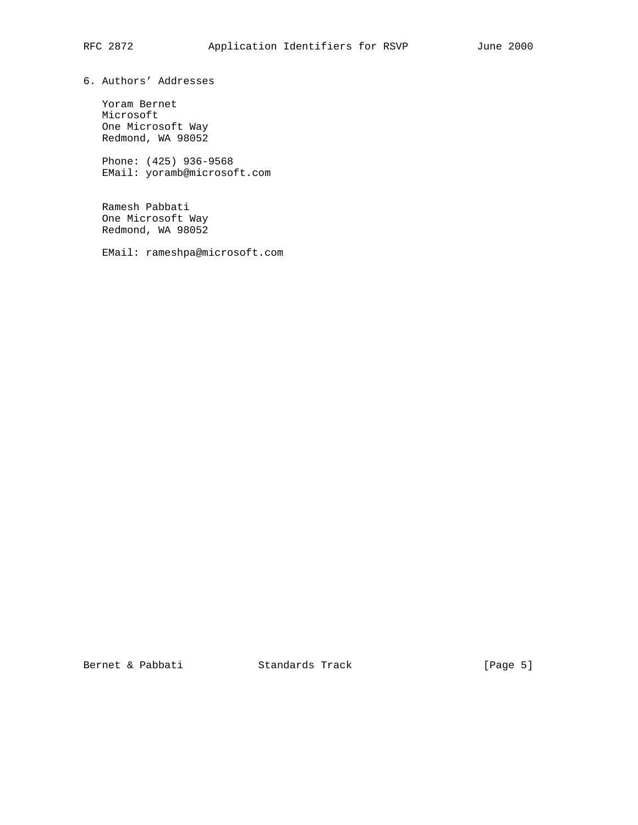6. Authors' Addresses

 Yoram Bernet Microsoft One Microsoft Way Redmond, WA 98052

 Phone: (425) 936-9568 EMail: yoramb@microsoft.com

 Ramesh Pabbati One Microsoft Way Redmond, WA 98052

EMail: rameshpa@microsoft.com